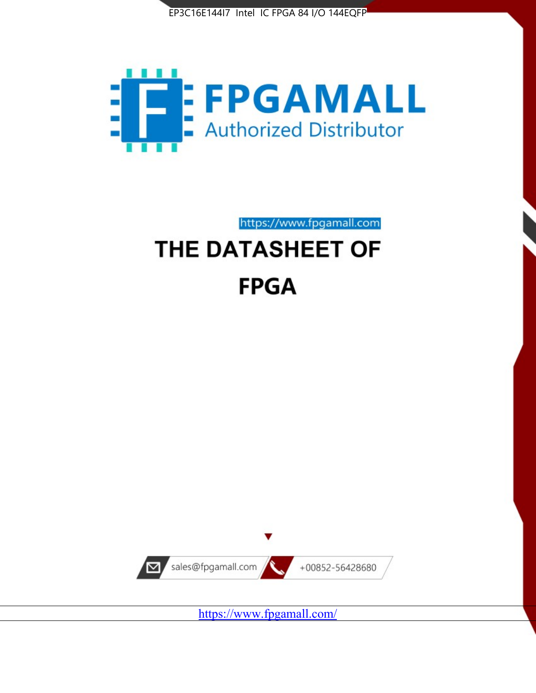



https://www.fpgamall.com THE DATASHEET OF

# **FPGA**



<https://www.fpgamall.com/>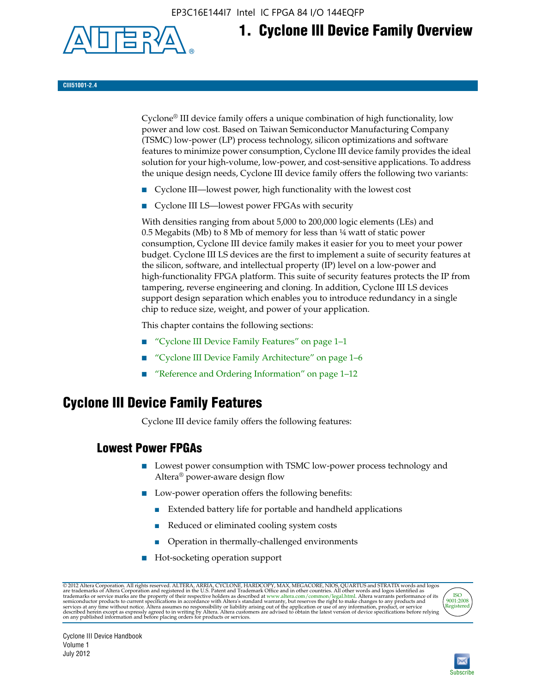EP3C16E144I7 Intel IC FPGA 84 I/O 144EQFP



## **1. Cyclone III Device Family Overview**

#### **CIII51001-2.4**

Cyclone® III device family offers a unique combination of high functionality, low power and low cost. Based on Taiwan Semiconductor Manufacturing Company (TSMC) low-power (LP) process technology, silicon optimizations and software features to minimize power consumption, Cyclone III device family provides the ideal solution for your high-volume, low-power, and cost-sensitive applications. To address the unique design needs, Cyclone III device family offers the following two variants:

- Cyclone III—lowest power, high functionality with the lowest cost
- Cyclone III LS—lowest power FPGAs with security

With densities ranging from about 5,000 to 200,000 logic elements (LEs) and 0.5 Megabits (Mb) to 8 Mb of memory for less than ¼ watt of static power consumption, Cyclone III device family makes it easier for you to meet your power budget. Cyclone III LS devices are the first to implement a suite of security features at the silicon, software, and intellectual property (IP) level on a low-power and high-functionality FPGA platform. This suite of security features protects the IP from tampering, reverse engineering and cloning. In addition, Cyclone III LS devices support design separation which enables you to introduce redundancy in a single chip to reduce size, weight, and power of your application.

This chapter contains the following sections:

- "Cyclone III Device Family Features" on page 1–1
- "Cyclone III Device Family Architecture" on page 1–6
- "Reference and Ordering Information" on page 1–12

## **Cyclone III Device Family Features**

Cyclone III device family offers the following features:

#### **Lowest Power FPGAs**

- Lowest power consumption with TSMC low-power process technology and Altera® power-aware design flow
- Low-power operation offers the following benefits:
	- Extended battery life for portable and handheld applications
	- Reduced or eliminated cooling system costs
	- Operation in thermally-challenged environments
- Hot-socketing operation support

@ 2012 Altera Corporation. All rights reserved. ALTERA, ARRIA, CYCLONE, HARDCOPY, MAX, MEGACORE, NIOS, QUARTUS and STRATIX words and logos are trademarks of Altera Corporation and registered in the U.S. Patent and Trademar



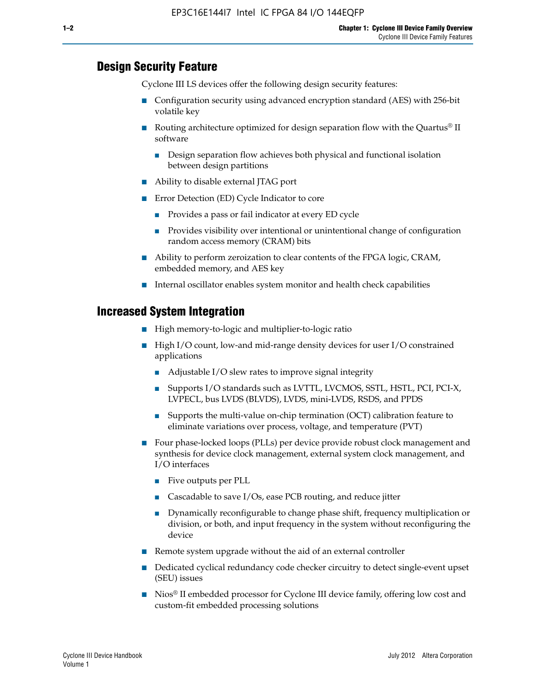#### **Design Security Feature**

Cyclone III LS devices offer the following design security features:

- Configuration security using advanced encryption standard (AES) with 256-bit volatile key
- **■** Routing architecture optimized for design separation flow with the Quartus<sup>®</sup> II software
	- Design separation flow achieves both physical and functional isolation between design partitions
- Ability to disable external JTAG port
- Error Detection (ED) Cycle Indicator to core
	- Provides a pass or fail indicator at every ED cycle
	- Provides visibility over intentional or unintentional change of configuration random access memory (CRAM) bits
- Ability to perform zeroization to clear contents of the FPGA logic, CRAM, embedded memory, and AES key
- Internal oscillator enables system monitor and health check capabilities

#### **Increased System Integration**

- High memory-to-logic and multiplier-to-logic ratio
- High I/O count, low-and mid-range density devices for user I/O constrained applications
	- Adjustable I/O slew rates to improve signal integrity
	- Supports I/O standards such as LVTTL, LVCMOS, SSTL, HSTL, PCI, PCI-X, LVPECL, bus LVDS (BLVDS), LVDS, mini-LVDS, RSDS, and PPDS
	- Supports the multi-value on-chip termination (OCT) calibration feature to eliminate variations over process, voltage, and temperature (PVT)
- Four phase-locked loops (PLLs) per device provide robust clock management and synthesis for device clock management, external system clock management, and I/O interfaces
	- Five outputs per PLL
	- Cascadable to save I/Os, ease PCB routing, and reduce jitter
	- Dynamically reconfigurable to change phase shift, frequency multiplication or division, or both, and input frequency in the system without reconfiguring the device
- Remote system upgrade without the aid of an external controller
- Dedicated cyclical redundancy code checker circuitry to detect single-event upset (SEU) issues
- Nios<sup>®</sup> II embedded processor for Cyclone III device family, offering low cost and custom-fit embedded processing solutions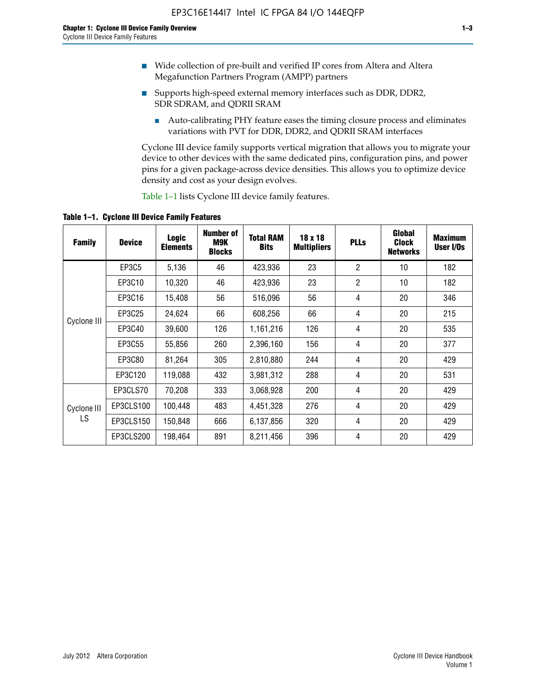- Wide collection of pre-built and verified IP cores from Altera and Altera Megafunction Partners Program (AMPP) partners
- Supports high-speed external memory interfaces such as DDR, DDR2, SDR SDRAM, and QDRII SRAM
	- Auto-calibrating PHY feature eases the timing closure process and eliminates variations with PVT for DDR, DDR2, and QDRII SRAM interfaces

Cyclone III device family supports vertical migration that allows you to migrate your device to other devices with the same dedicated pins, configuration pins, and power pins for a given package-across device densities. This allows you to optimize device density and cost as your design evolves.

Table 1–1 lists Cyclone III device family features.

**Table 1–1. Cyclone III Device Family Features**

| <b>Family</b>     | <b>Device</b> | <b>Logic</b><br><b>Elements</b> | Number of<br>M9K<br><b>Blocks</b> | <b>Total RAM</b><br><b>Bits</b> | 18 x 18<br><b>Multipliers</b> | <b>PLLs</b>    | Global<br><b>Clock</b><br><b>Networks</b> | <b>Maximum</b><br>User I/Os |
|-------------------|---------------|---------------------------------|-----------------------------------|---------------------------------|-------------------------------|----------------|-------------------------------------------|-----------------------------|
|                   | <b>EP3C5</b>  | 5,136                           | 46                                | 423,936                         | 23                            | $\overline{2}$ | 10                                        | 182                         |
|                   | EP3C10        | 10,320                          | 46                                | 423,936                         | 23                            | $\overline{2}$ | 10                                        | 182                         |
| Cyclone III       | EP3C16        | 15,408                          | 56                                | 516,096                         | 56                            | 4              | 20                                        | 346                         |
|                   | EP3C25        | 24,624                          | 66                                | 608,256                         | 66                            | 4              | 20                                        | 215                         |
|                   | EP3C40        | 39,600                          | 126                               | 1,161,216                       | 126                           | 4              | 20                                        | 535                         |
|                   | EP3C55        | 55,856                          | 260                               | 2,396,160                       | 156                           | 4              | 20                                        | 377                         |
|                   | EP3C80        | 81,264                          | 305                               | 2,810,880                       | 244                           | 4              | 20                                        | 429                         |
|                   | EP3C120       | 119,088                         | 432                               | 3,981,312                       | 288                           | 4              | 20                                        | 531                         |
|                   | EP3CLS70      | 70,208                          | 333                               | 3,068,928                       | 200                           | 4              | 20                                        | 429                         |
| Cyclone III<br>LS | EP3CLS100     | 100,448                         | 483                               | 4,451,328                       | 276                           | 4              | 20                                        | 429                         |
|                   | EP3CLS150     | 150,848                         | 666                               | 6,137,856                       | 320                           | 4              | 20                                        | 429                         |
|                   | EP3CLS200     | 198,464                         | 891                               | 8,211,456                       | 396                           | 4              | 20                                        | 429                         |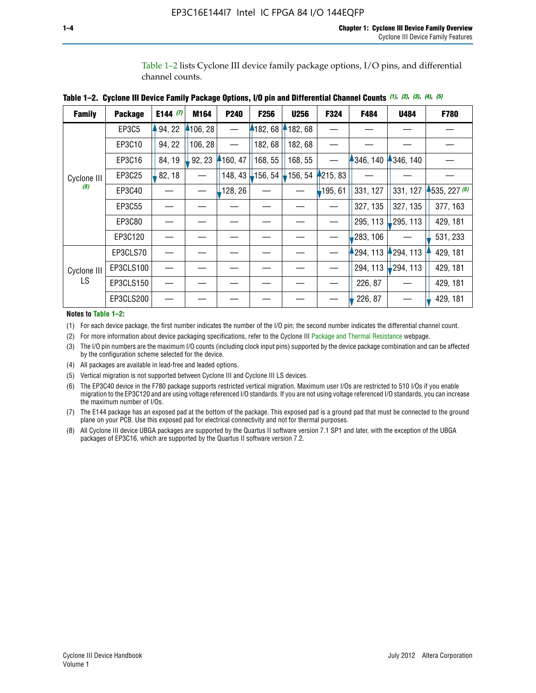Table 1–2 lists Cyclone III device family package options, I/O pins, and differential channel counts.

┬

| <b>Family</b>      | <b>Package</b> | E144 $(7)$ | M164                     | P240    | F <sub>256</sub>               | <b>U256</b>           | <b>F324</b> | F484     | U484                  | <b>F780</b>  |
|--------------------|----------------|------------|--------------------------|---------|--------------------------------|-----------------------|-------------|----------|-----------------------|--------------|
|                    | EP3C5          | 94, 22     | 4106, 28                 |         | 182, 68                        | 182, 68               |             |          |                       |              |
|                    | EP3C10         | 94, 22     | 106, 28                  |         | 182, 68                        | 182, 68               |             |          |                       |              |
|                    | EP3C16         | 84, 19     | 92, 23                   | 160, 47 | 168, 55                        | 168, 55               |             | 346, 140 | 346, 140              |              |
| Cyclone III        | EP3C25         | 82, 18     | $\overline{\phantom{0}}$ |         | 148, 43 <mark>↓</mark> 156, 54 | $\frac{1}{2}$ 156, 54 | 4215, 83    |          |                       |              |
| (8)                | EP3C40         |            |                          | 128, 26 |                                |                       | $-195, 61$  | 331, 127 | 331, 127              | 4535, 227(6) |
|                    | EP3C55         |            |                          |         |                                |                       |             | 327, 135 | 327, 135              | 377, 163     |
|                    | EP3C80         |            |                          |         |                                |                       |             | 295, 113 | 295, 113              | 429, 181     |
|                    | EP3C120        |            |                          |         |                                |                       |             | 283, 106 |                       | 531, 233     |
|                    | EP3CLS70       |            |                          |         |                                |                       |             | 294, 113 | ↑294, 113             | 429, 181     |
| Cyclone III<br>LS. | EP3CLS100      |            |                          |         |                                |                       |             | 294, 113 | $\downarrow$ 294, 113 | 429, 181     |
|                    | EP3CLS150      |            |                          |         |                                |                       |             | 226, 87  |                       | 429, 181     |
|                    | EP3CLS200      |            |                          |         |                                |                       |             | 226, 87  |                       | 429, 181     |

**Table 1–2. Cyclone III Device Family Package Options, I/O pin and Differential Channel Counts** *(1)***,** *(2)***,** *(3)***,** *(4)***,** *(5)*

ℸ

**Notes to Table 1–2:**

(1) For each device package, the first number indicates the number of the I/O pin; the second number indicates the differential channel count.

(2) For more information about device packaging specifications, refer to the Cyclone III [Package and Thermal Resistance](http://www.altera.com/support/devices/packaging/specifications/pkg-pin/dev-package-listing.jsp?device=Cyclone_III) webpage.

(3) The I/O pin numbers are the maximum I/O counts (including clock input pins) supported by the device package combination and can be affected by the configuration scheme selected for the device.

(4) All packages are available in lead-free and leaded options.

(5) Vertical migration is not supported between Cyclone III and Cyclone III LS devices.

(6) The EP3C40 device in the F780 package supports restricted vertical migration. Maximum user I/Os are restricted to 510 I/Os if you enable migration to the EP3C120 and are using voltage referenced I/O standards. If you are not using voltage referenced I/O standards, you can increase the maximum number of I/Os.

(7) The E144 package has an exposed pad at the bottom of the package. This exposed pad is a ground pad that must be connected to the ground plane on your PCB. Use this exposed pad for electrical connectivity and not for thermal purposes.

(8) All Cyclone III device UBGA packages are supported by the Quartus II software version 7.1 SP1 and later, with the exception of the UBGA packages of EP3C16, which are supported by the Quartus II software version 7.2.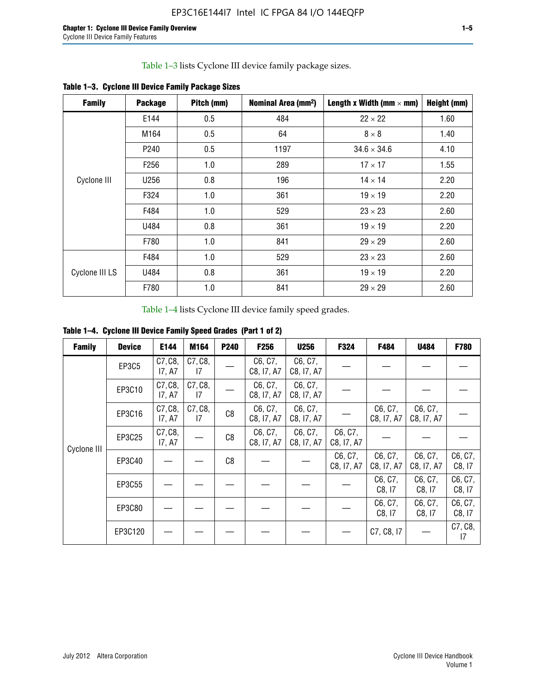Table 1–3 lists Cyclone III device family package sizes.

| <b>Family</b>  | <b>Package</b>   | Pitch (mm) | Nominal Area (mm <sup>2</sup> ) | Length x Width (mm $\times$ mm) | Height (mm) |
|----------------|------------------|------------|---------------------------------|---------------------------------|-------------|
|                | E144             | 0.5        | 484                             | $22 \times 22$                  | 1.60        |
|                | M164             | 0.5        | 64                              | $8 \times 8$                    | 1.40        |
|                | P <sub>240</sub> | 0.5        | 1197                            | $34.6 \times 34.6$              | 4.10        |
|                | F <sub>256</sub> | 1.0        | 289                             | $17 \times 17$                  | 1.55        |
| Cyclone III    | U256             | 0.8        | 196                             | $14 \times 14$                  | 2.20        |
|                | F324             | 1.0        | 361                             | $19 \times 19$                  | 2.20        |
|                | F484             | 1.0        | 529                             | $23 \times 23$                  | 2.60        |
|                | U484             | 0.8        | 361                             | $19 \times 19$                  | 2.20        |
|                | F780             | 1.0        | 841                             | $29 \times 29$                  | 2.60        |
|                | F484             | 1.0        | 529                             | $23 \times 23$                  | 2.60        |
| Cyclone III LS | U484             | 0.8        | 361                             | $19 \times 19$                  | 2.20        |
|                | F780             | 1.0        | 841                             | $29 \times 29$                  | 2.60        |

**Table 1–3. Cyclone III Device Family Package Sizes**

Table 1–4 lists Cyclone III device family speed grades.

**Table 1–4. Cyclone III Device Family Speed Grades (Part 1 of 2)**

| <b>Family</b> | <b>Device</b> | E144              | M164                       | <b>P240</b> | F <sub>256</sub>      | <b>U256</b>           | F324                  | F484                  | U484                  | <b>F780</b>       |
|---------------|---------------|-------------------|----------------------------|-------------|-----------------------|-----------------------|-----------------------|-----------------------|-----------------------|-------------------|
|               | <b>EP3C5</b>  | C7, C8,<br>I7, A7 | C7, C8,<br>17              |             | C6, C7,<br>C8, I7, A7 | C6, C7,<br>C8, I7, A7 |                       |                       |                       |                   |
|               | EP3C10        | C7, C8,<br>17, A7 | C7, C8,<br>17              |             | C6, C7,<br>C8, I7, A7 | C6, C7,<br>C8, I7, A7 |                       |                       |                       |                   |
|               | EP3C16        | C7, C8,<br>17, A7 | C7, C8,<br>$\overline{17}$ | C8          | C6, C7,<br>C8, I7, A7 | C6, C7,<br>C8, I7, A7 |                       | C6, C7,<br>C8, I7, A7 | C6, C7,<br>C8, I7, A7 |                   |
| Cyclone III   | EP3C25        | C7, C8,<br>17, A7 |                            | C8          | C6, C7,<br>C8, I7, A7 | C6, C7,<br>C8, I7, A7 | C6, C7,<br>C8, I7, A7 |                       |                       |                   |
|               | EP3C40        |                   |                            | C8          |                       |                       | C6, C7,<br>C8, I7, A7 | C6, C7,<br>C8, I7, A7 | C6, C7,<br>C8, I7, A7 | C6, C7,<br>C8, 17 |
|               | EP3C55        |                   |                            |             |                       |                       |                       | C6, C7,<br>C8, 17     | C6, C7,<br>C8, 17     | C6, C7,<br>C8, 17 |
|               | EP3C80        |                   |                            |             |                       |                       |                       | C6, C7,<br>C8, 17     | C6, C7,<br>C8, 17     | C6, C7,<br>C8, 17 |
|               | EP3C120       |                   |                            |             |                       |                       |                       | C7, C8, I7            |                       | C7, C8,<br>17     |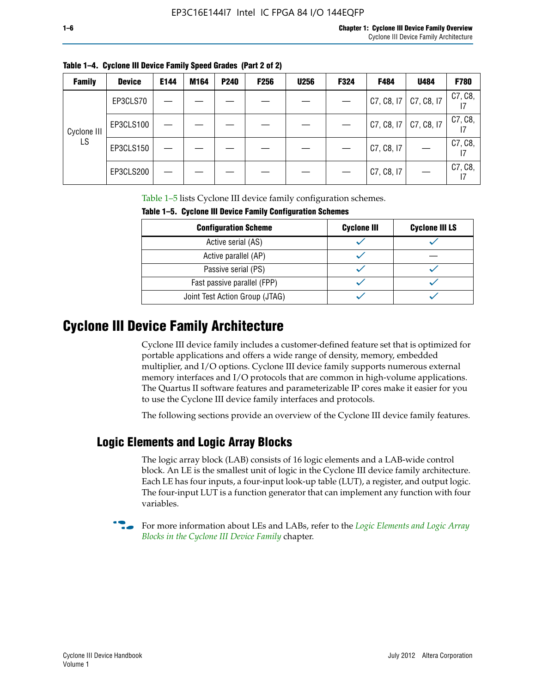| <b>Family</b> | <b>Device</b> | E144 | M164 | P240 | <b>F256</b> | <b>U256</b> | F324 | F484       | U484       | F780          |
|---------------|---------------|------|------|------|-------------|-------------|------|------------|------------|---------------|
|               | EP3CLS70      |      |      |      |             |             |      | C7, C8, I7 | C7, C8, I7 | C7, C8,       |
| Cyclone III   | EP3CLS100     |      |      |      |             |             |      | C7, C8, I7 | C7, C8, I7 | C7, C8,       |
| LS            | EP3CLS150     |      |      |      |             |             |      | C7, C8, I7 |            | C7, C8,<br>17 |
|               | EP3CLS200     |      |      |      |             |             |      | C7, C8, I7 |            | C7, C8,<br>17 |

Table 1–5 lists Cyclone III device family configuration schemes.

| TABLE 1-9. CYCLUILE III DEVICE FAILIIIY CUILILYULALIUII SCIIEIIIES |                    |                       |  |  |  |
|--------------------------------------------------------------------|--------------------|-----------------------|--|--|--|
| <b>Configuration Scheme</b>                                        | <b>Cyclone III</b> | <b>Cyclone III LS</b> |  |  |  |
| Active serial (AS)                                                 |                    |                       |  |  |  |
| Active parallel (AP)                                               |                    |                       |  |  |  |
| Passive serial (PS)                                                |                    |                       |  |  |  |
| Fast passive parallel (FPP)                                        |                    |                       |  |  |  |
| Joint Test Action Group (JTAG)                                     |                    |                       |  |  |  |

**Table 1–5. Cyclone III Device Family Configuration Schemes**

## **Cyclone III Device Family Architecture**

Cyclone III device family includes a customer-defined feature set that is optimized for portable applications and offers a wide range of density, memory, embedded multiplier, and I/O options. Cyclone III device family supports numerous external memory interfaces and I/O protocols that are common in high-volume applications. The Quartus II software features and parameterizable IP cores make it easier for you to use the Cyclone III device family interfaces and protocols.

The following sections provide an overview of the Cyclone III device family features.

#### **Logic Elements and Logic Array Blocks**

The logic array block (LAB) consists of 16 logic elements and a LAB-wide control block. An LE is the smallest unit of logic in the Cyclone III device family architecture. Each LE has four inputs, a four-input look-up table (LUT), a register, and output logic. The four-input LUT is a function generator that can implement any function with four variables.

f For more information about LEs and LABs, refer to the *[Logic Elements and Logic Array](http://www.altera.com/literature/hb/cyc3/cyc3_ciii51002.pdf)  [Blocks in the Cyclone III Device Family](http://www.altera.com/literature/hb/cyc3/cyc3_ciii51002.pdf)* chapter.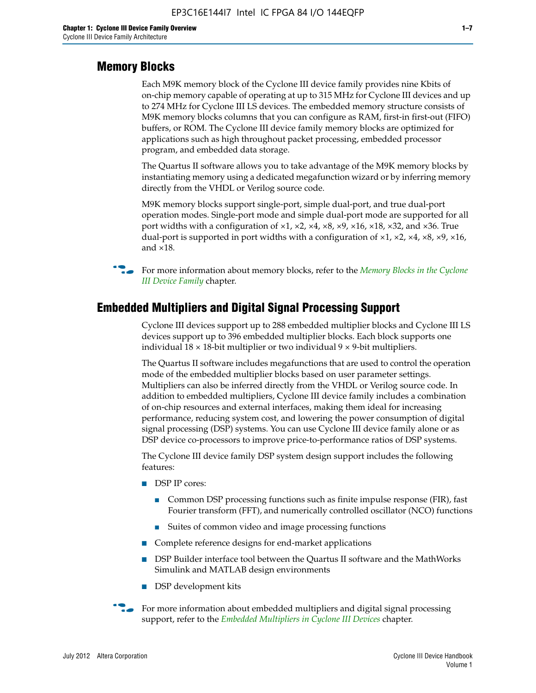#### **Memory Blocks**

Each M9K memory block of the Cyclone III device family provides nine Kbits of on-chip memory capable of operating at up to 315 MHz for Cyclone III devices and up to 274 MHz for Cyclone III LS devices. The embedded memory structure consists of M9K memory blocks columns that you can configure as RAM, first-in first-out (FIFO) buffers, or ROM. The Cyclone III device family memory blocks are optimized for applications such as high throughout packet processing, embedded processor program, and embedded data storage.

The Quartus II software allows you to take advantage of the M9K memory blocks by instantiating memory using a dedicated megafunction wizard or by inferring memory directly from the VHDL or Verilog source code.

M9K memory blocks support single-port, simple dual-port, and true dual-port operation modes. Single-port mode and simple dual-port mode are supported for all port widths with a configuration of  $\times1$ ,  $\times2$ ,  $\times4$ ,  $\times8$ ,  $\times9$ ,  $\times16$ ,  $\times18$ ,  $\times32$ , and  $\times36$ . True dual-port is supported in port widths with a configuration of  $\times$ 1,  $\times$ 2,  $\times$ 4,  $\times$ 8,  $\times$ 9,  $\times$ 16, and ×18.



**For more information about memory blocks, refer to the** *Memory Blocks in the Cyclone [III Device Family](http://www.altera.com/literature/hb/cyc3/cyc3_ciii51004.pdf)* chapter.

#### **Embedded Multipliers and Digital Signal Processing Support**

Cyclone III devices support up to 288 embedded multiplier blocks and Cyclone III LS devices support up to 396 embedded multiplier blocks. Each block supports one individual  $18 \times 18$ -bit multiplier or two individual  $9 \times 9$ -bit multipliers.

The Quartus II software includes megafunctions that are used to control the operation mode of the embedded multiplier blocks based on user parameter settings. Multipliers can also be inferred directly from the VHDL or Verilog source code. In addition to embedded multipliers, Cyclone III device family includes a combination of on-chip resources and external interfaces, making them ideal for increasing performance, reducing system cost, and lowering the power consumption of digital signal processing (DSP) systems. You can use Cyclone III device family alone or as DSP device co-processors to improve price-to-performance ratios of DSP systems.

The Cyclone III device family DSP system design support includes the following features:

- DSP IP cores:
	- Common DSP processing functions such as finite impulse response (FIR), fast Fourier transform (FFT), and numerically controlled oscillator (NCO) functions
	- Suites of common video and image processing functions
- Complete reference designs for end-market applications
- DSP Builder interface tool between the Quartus II software and the MathWorks Simulink and MATLAB design environments
- DSP development kits
- For more information about embedded multipliers and digital signal processing support, refer to the *[Embedded Multipliers in Cyclone III Devices](http://www.altera.com/literature/hb/cyc3/cyc3_ciii51005.pdf)* chapter.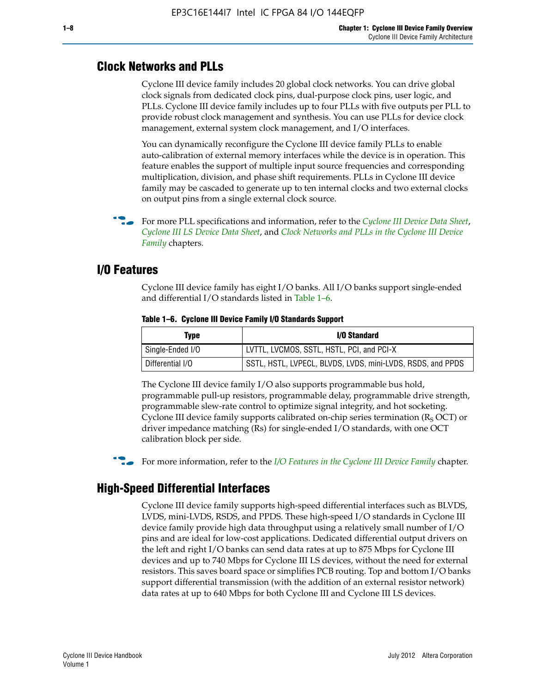#### **Clock Networks and PLLs**

Cyclone III device family includes 20 global clock networks. You can drive global clock signals from dedicated clock pins, dual-purpose clock pins, user logic, and PLLs. Cyclone III device family includes up to four PLLs with five outputs per PLL to provide robust clock management and synthesis. You can use PLLs for device clock management, external system clock management, and I/O interfaces.

You can dynamically reconfigure the Cyclone III device family PLLs to enable auto-calibration of external memory interfaces while the device is in operation. This feature enables the support of multiple input source frequencies and corresponding multiplication, division, and phase shift requirements. PLLs in Cyclone III device family may be cascaded to generate up to ten internal clocks and two external clocks on output pins from a single external clock source.

**For more PLL specifications and information, refer to the** *[Cyclone III Device Data Sheet](http://www.altera.com/literature/hb/cyc3/cyc3_ciii52001.pdf)***,** *[Cyclone III LS Device Data Sheet](http://www.altera.com/literature/hb/cyc3/cyc3_ciii52002.pdf)*, and *[Clock Networks and PLLs in the Cyclone III Device](http://www.altera.com/literature/hb/cyc3/cyc3_ciii51006.pdf)  [Family](http://www.altera.com/literature/hb/cyc3/cyc3_ciii51006.pdf)* chapters.

#### **I/O Features**

Cyclone III device family has eight I/O banks. All I/O banks support single-ended and differential I/O standards listed in Table 1–6.

| Type             | <b>I/O Standard</b>                                        |
|------------------|------------------------------------------------------------|
| Single-Ended I/O | LVTTL, LVCMOS, SSTL, HSTL, PCI, and PCI-X                  |
| Differential I/O | SSTL, HSTL, LVPECL, BLVDS, LVDS, mini-LVDS, RSDS, and PPDS |

**Table 1–6. Cyclone III Device Family I/O Standards Support** 

The Cyclone III device family I/O also supports programmable bus hold, programmable pull-up resistors, programmable delay, programmable drive strength, programmable slew-rate control to optimize signal integrity, and hot socketing. Cyclone III device family supports calibrated on-chip series termination ( $R_S$  OCT) or driver impedance matching (Rs) for single-ended I/O standards, with one OCT calibration block per side.

For more information, refer to the *[I/O Features in the Cyclone III Device Family](http://www.altera.com/literature/hb/cyc3/cyc3_ciii51007.pdf)* chapter.

#### **High-Speed Differential Interfaces**

Cyclone III device family supports high-speed differential interfaces such as BLVDS, LVDS, mini-LVDS, RSDS, and PPDS. These high-speed I/O standards in Cyclone III device family provide high data throughput using a relatively small number of I/O pins and are ideal for low-cost applications. Dedicated differential output drivers on the left and right I/O banks can send data rates at up to 875 Mbps for Cyclone III devices and up to 740 Mbps for Cyclone III LS devices, without the need for external resistors. This saves board space or simplifies PCB routing. Top and bottom I/O banks support differential transmission (with the addition of an external resistor network) data rates at up to 640 Mbps for both Cyclone III and Cyclone III LS devices.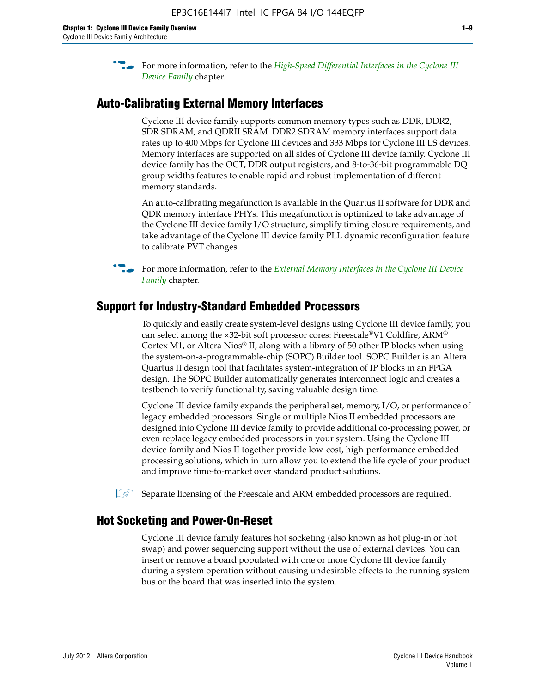**For more information, refer to the** *High-Speed Differential Interfaces in the Cyclone III* $\overline{a}$ *[Device Family](http://www.altera.com/literature/hb/cyc3/cyc3_ciii51008.pdf)* chapter.

#### **Auto-Calibrating External Memory Interfaces**

Cyclone III device family supports common memory types such as DDR, DDR2, SDR SDRAM, and QDRII SRAM. DDR2 SDRAM memory interfaces support data rates up to 400 Mbps for Cyclone III devices and 333 Mbps for Cyclone III LS devices. Memory interfaces are supported on all sides of Cyclone III device family. Cyclone III device family has the OCT, DDR output registers, and 8-to-36-bit programmable DQ group widths features to enable rapid and robust implementation of different memory standards.

An auto-calibrating megafunction is available in the Quartus II software for DDR and QDR memory interface PHYs. This megafunction is optimized to take advantage of the Cyclone III device family I/O structure, simplify timing closure requirements, and take advantage of the Cyclone III device family PLL dynamic reconfiguration feature to calibrate PVT changes.

**For more information, refer to the** *External Memory Interfaces in the Cyclone III Device [Family](http://www.altera.com/literature/hb/cyc3/cyc3_ciii51009.pdf)* chapter.

#### **Support for Industry-Standard Embedded Processors**

To quickly and easily create system-level designs using Cyclone III device family, you can select among the ×32-bit soft processor cores: Freescale®V1 Coldfire, ARM® Cortex M1, or Altera Nios® II, along with a library of 50 other IP blocks when using the system-on-a-programmable-chip (SOPC) Builder tool. SOPC Builder is an Altera Quartus II design tool that facilitates system-integration of IP blocks in an FPGA design. The SOPC Builder automatically generates interconnect logic and creates a testbench to verify functionality, saving valuable design time.

Cyclone III device family expands the peripheral set, memory, I/O, or performance of legacy embedded processors. Single or multiple Nios II embedded processors are designed into Cyclone III device family to provide additional co-processing power, or even replace legacy embedded processors in your system. Using the Cyclone III device family and Nios II together provide low-cost, high-performance embedded processing solutions, which in turn allow you to extend the life cycle of your product and improve time-to-market over standard product solutions.

 $\mathbb{I}$  Separate licensing of the Freescale and ARM embedded processors are required.

#### **Hot Socketing and Power-On-Reset**

Cyclone III device family features hot socketing (also known as hot plug-in or hot swap) and power sequencing support without the use of external devices. You can insert or remove a board populated with one or more Cyclone III device family during a system operation without causing undesirable effects to the running system bus or the board that was inserted into the system.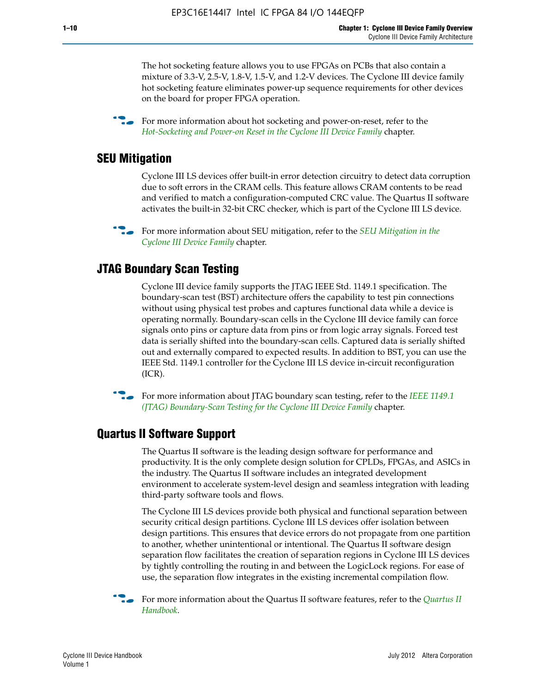The hot socketing feature allows you to use FPGAs on PCBs that also contain a mixture of 3.3-V, 2.5-V, 1.8-V, 1.5-V, and 1.2-V devices. The Cyclone III device family hot socketing feature eliminates power-up sequence requirements for other devices on the board for proper FPGA operation.

For more information about hot socketing and power-on-reset, refer to the *[Hot-Socketing and Power-on Reset in the Cyclone III Device Family](http://www.altera.com/literature/hb/cyc3/cyc3_ciii51011.pdf)* chapter.

#### **SEU Mitigation**

Cyclone III LS devices offer built-in error detection circuitry to detect data corruption due to soft errors in the CRAM cells. This feature allows CRAM contents to be read and verified to match a configuration-computed CRC value. The Quartus II software activates the built-in 32-bit CRC checker, which is part of the Cyclone III LS device.

**For more information about SEU mitigation, refer to the** *SEU Mitigation in the [Cyclone III Device Family](http://www.altera.com/literature/hb/cyc3/cyc3_ciii51013.pdf)* chapter.

#### **JTAG Boundary Scan Testing**

Cyclone III device family supports the JTAG IEEE Std. 1149.1 specification. The boundary-scan test (BST) architecture offers the capability to test pin connections without using physical test probes and captures functional data while a device is operating normally. Boundary-scan cells in the Cyclone III device family can force signals onto pins or capture data from pins or from logic array signals. Forced test data is serially shifted into the boundary-scan cells. Captured data is serially shifted out and externally compared to expected results. In addition to BST, you can use the IEEE Std. 1149.1 controller for the Cyclone III LS device in-circuit reconfiguration (ICR).

**f f**or more information about JTAG boundary scan testing, refer to the *IEEE* 1149.1 *[\(JTAG\) Boundary-Scan Testing for the Cyclone III Device Family](http://www.altera.com/literature/hb/cyc3/cyc3_ciii51014.pdf)* chapter.

#### **Quartus II Software Support**

The Quartus II software is the leading design software for performance and productivity. It is the only complete design solution for CPLDs, FPGAs, and ASICs in the industry. The Quartus II software includes an integrated development environment to accelerate system-level design and seamless integration with leading third-party software tools and flows.

The Cyclone III LS devices provide both physical and functional separation between security critical design partitions. Cyclone III LS devices offer isolation between design partitions. This ensures that device errors do not propagate from one partition to another, whether unintentional or intentional. The Quartus II software design separation flow facilitates the creation of separation regions in Cyclone III LS devices by tightly controlling the routing in and between the LogicLock regions. For ease of use, the separation flow integrates in the existing incremental compilation flow.

f For more information about the Quartus II software features, refer to the *[Quartus II](http://www.altera.com/literature/hb/qts/quartusii_handbook.pdf)  [Handbook](http://www.altera.com/literature/hb/qts/quartusii_handbook.pdf)*.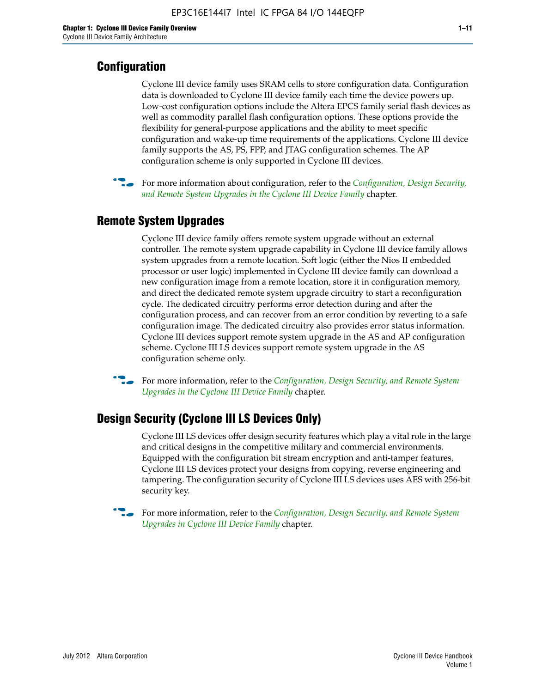### **Configuration**

Cyclone III device family uses SRAM cells to store configuration data. Configuration data is downloaded to Cyclone III device family each time the device powers up. Low-cost configuration options include the Altera EPCS family serial flash devices as well as commodity parallel flash configuration options. These options provide the flexibility for general-purpose applications and the ability to meet specific configuration and wake-up time requirements of the applications. Cyclone III device family supports the AS, PS, FPP, and JTAG configuration schemes. The AP configuration scheme is only supported in Cyclone III devices.



f For more information about configuration, refer to the *[Configuration, Design Security,](http://www.altera.com/literature/hb/cyc3/cyc3_ciii51016.pdf)  [and Remote System Upgrades in the Cyclone III Device Family](http://www.altera.com/literature/hb/cyc3/cyc3_ciii51016.pdf)* chapter.

#### **Remote System Upgrades**

Cyclone III device family offers remote system upgrade without an external controller. The remote system upgrade capability in Cyclone III device family allows system upgrades from a remote location. Soft logic (either the Nios II embedded processor or user logic) implemented in Cyclone III device family can download a new configuration image from a remote location, store it in configuration memory, and direct the dedicated remote system upgrade circuitry to start a reconfiguration cycle. The dedicated circuitry performs error detection during and after the configuration process, and can recover from an error condition by reverting to a safe configuration image. The dedicated circuitry also provides error status information. Cyclone III devices support remote system upgrade in the AS and AP configuration scheme. Cyclone III LS devices support remote system upgrade in the AS configuration scheme only.

**For more information, refer to the** *Configuration, Design Security, and Remote System [Upgrades in the Cyclone III Device Family](http://www.altera.com/literature/hb/cyc3/cyc3_ciii51016.pdf)* chapter.

#### **Design Security (Cyclone III LS Devices Only)**

Cyclone III LS devices offer design security features which play a vital role in the large and critical designs in the competitive military and commercial environments. Equipped with the configuration bit stream encryption and anti-tamper features, Cyclone III LS devices protect your designs from copying, reverse engineering and tampering. The configuration security of Cyclone III LS devices uses AES with 256-bit security key.

f For more information, refer to the *[Configuration, Design Security, and Remote System](http://www.altera.com/literature/hb/cyc3/cyc3_ciii51016.pdf)  [Upgrades in Cyclone III Device Family](http://www.altera.com/literature/hb/cyc3/cyc3_ciii51016.pdf)* chapter.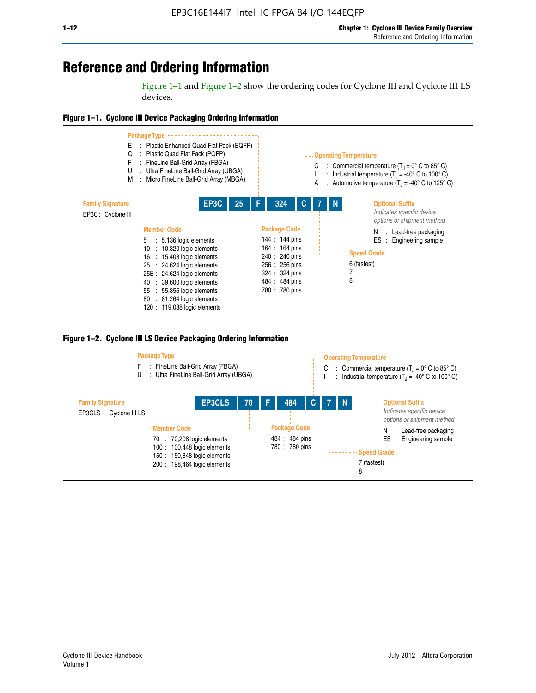## **Reference and Ordering Information**

Figure 1–1 and Figure 1–2 show the ordering codes for Cyclone III and Cyclone III LS devices.







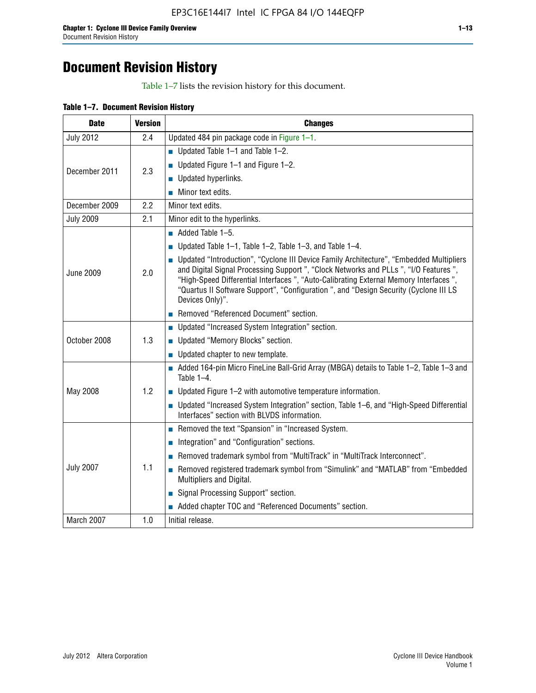## **Document Revision History**

Table 1–7 lists the revision history for this document.

|  | Table 1-7. Document Revision History |  |  |  |
|--|--------------------------------------|--|--|--|
|--|--------------------------------------|--|--|--|

| <b>Date</b>      | <b>Version</b> | <b>Changes</b>                                                                                                                                                                                                                                                                                                                                                                          |
|------------------|----------------|-----------------------------------------------------------------------------------------------------------------------------------------------------------------------------------------------------------------------------------------------------------------------------------------------------------------------------------------------------------------------------------------|
| <b>July 2012</b> | 2.4            | Updated 484 pin package code in Figure 1-1.                                                                                                                                                                                                                                                                                                                                             |
|                  |                | ■ Updated Table $1-1$ and Table $1-2$ .                                                                                                                                                                                                                                                                                                                                                 |
| December 2011    | 2.3            | ■ Updated Figure $1-1$ and Figure $1-2$ .                                                                                                                                                                                                                                                                                                                                               |
|                  |                | Updated hyperlinks.                                                                                                                                                                                                                                                                                                                                                                     |
|                  |                | Minor text edits.                                                                                                                                                                                                                                                                                                                                                                       |
| December 2009    | 2.2            | Minor text edits.                                                                                                                                                                                                                                                                                                                                                                       |
| <b>July 2009</b> | 2.1            | Minor edit to the hyperlinks.                                                                                                                                                                                                                                                                                                                                                           |
|                  |                | $\blacksquare$ Added Table 1-5.                                                                                                                                                                                                                                                                                                                                                         |
|                  |                | ■ Updated Table 1–1, Table 1–2, Table 1–3, and Table 1–4.                                                                                                                                                                                                                                                                                                                               |
| <b>June 2009</b> | 2.0            | • Updated "Introduction", "Cyclone III Device Family Architecture", "Embedded Multipliers<br>and Digital Signal Processing Support ", "Clock Networks and PLLs ", "I/O Features ",<br>"High-Speed Differential Interfaces ", "Auto-Calibrating External Memory Interfaces",<br>"Quartus II Software Support", "Configuration ", and "Design Security (Cyclone III LS<br>Devices Only)". |
|                  |                | Removed "Referenced Document" section.                                                                                                                                                                                                                                                                                                                                                  |
|                  |                | • Updated "Increased System Integration" section.                                                                                                                                                                                                                                                                                                                                       |
| October 2008     | 1.3            | Updated "Memory Blocks" section.                                                                                                                                                                                                                                                                                                                                                        |
|                  |                | • Updated chapter to new template.                                                                                                                                                                                                                                                                                                                                                      |
|                  |                | Added 164-pin Micro FineLine Ball-Grid Array (MBGA) details to Table 1-2, Table 1-3 and<br>Table $1-4$ .                                                                                                                                                                                                                                                                                |
| May 2008         | 1.2            | $\blacksquare$ Updated Figure 1-2 with automotive temperature information.                                                                                                                                                                                                                                                                                                              |
|                  |                | • Updated "Increased System Integration" section, Table 1-6, and "High-Speed Differential<br>Interfaces" section with BLVDS information.                                                                                                                                                                                                                                                |
|                  |                | Removed the text "Spansion" in "Increased System.                                                                                                                                                                                                                                                                                                                                       |
|                  |                | Integration" and "Configuration" sections.                                                                                                                                                                                                                                                                                                                                              |
| <b>July 2007</b> |                | Removed trademark symbol from "MultiTrack" in "MultiTrack Interconnect".                                                                                                                                                                                                                                                                                                                |
|                  | 1.1            | Removed registered trademark symbol from "Simulink" and "MATLAB" from "Embedded<br>Multipliers and Digital.                                                                                                                                                                                                                                                                             |
|                  |                | Signal Processing Support" section.                                                                                                                                                                                                                                                                                                                                                     |
|                  |                | Added chapter TOC and "Referenced Documents" section.                                                                                                                                                                                                                                                                                                                                   |
| March 2007       | 1.0            | Initial release.                                                                                                                                                                                                                                                                                                                                                                        |